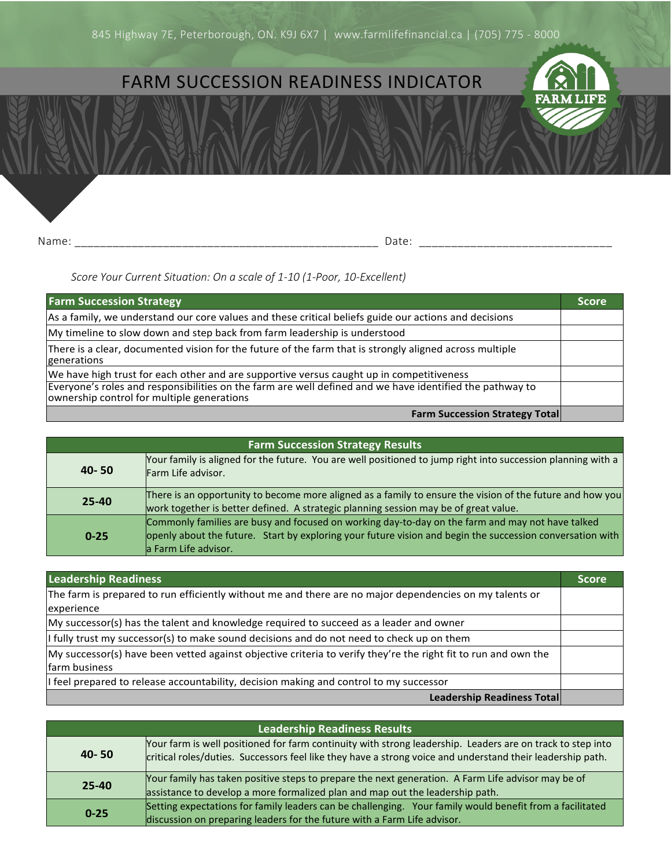## FARM SUCCESSION READINESS INDICATOR



Name: \_\_\_\_\_\_\_\_\_\_\_\_\_\_\_\_\_\_\_\_\_\_\_\_\_\_\_\_\_\_\_\_\_\_\_\_\_\_\_\_\_\_\_\_\_\_\_\_ Date: \_\_\_\_\_\_\_\_\_\_\_\_\_\_\_\_\_\_\_\_\_\_\_\_\_\_\_\_\_\_

## *Score Your Current Situation: On a scale of 1-10 (1-Poor, 10-Excellent)*

| <b>Farm Succession Strategy</b>                                                                                                                        | <b>Score</b> |
|--------------------------------------------------------------------------------------------------------------------------------------------------------|--------------|
| As a family, we understand our core values and these critical beliefs guide our actions and decisions                                                  |              |
| My timeline to slow down and step back from farm leadership is understood                                                                              |              |
| There is a clear, documented vision for the future of the farm that is strongly aligned across multiple<br>generations                                 |              |
| We have high trust for each other and are supportive versus caught up in competitiveness                                                               |              |
| Everyone's roles and responsibilities on the farm are well defined and we have identified the pathway to<br>ownership control for multiple generations |              |
| <b>Farm Succession Strategy Total</b>                                                                                                                  |              |

| <b>Farm Succession Strategy Results</b> |                                                                                                                                                                                                                                       |
|-----------------------------------------|---------------------------------------------------------------------------------------------------------------------------------------------------------------------------------------------------------------------------------------|
| $40 - 50$                               | Your family is aligned for the future. You are well positioned to jump right into succession planning with a<br>Farm Life advisor.                                                                                                    |
| $25 - 40$                               | There is an opportunity to become more aligned as a family to ensure the vision of the future and how you<br>work together is better defined. A strategic planning session may be of great value.                                     |
| $0 - 25$                                | Commonly families are busy and focused on working day-to-day on the farm and may not have talked<br>openly about the future. Start by exploring your future vision and begin the succession conversation with<br>a Farm Life advisor. |

| <b>Leadership Readiness</b>                                                                                                     | <b>Score</b> |
|---------------------------------------------------------------------------------------------------------------------------------|--------------|
| The farm is prepared to run efficiently without me and there are no major dependencies on my talents or<br>experience           |              |
| My successor(s) has the talent and knowledge required to succeed as a leader and owner                                          |              |
| I fully trust my successor(s) to make sound decisions and do not need to check up on them                                       |              |
| My successor(s) have been vetted against objective criteria to verify they're the right fit to run and own the<br>farm business |              |
| I feel prepared to release accountability, decision making and control to my successor                                          |              |
| <b>Leadership Readiness Total</b>                                                                                               |              |

| <b>Leadership Readiness Results</b> |                                                                                                                                                                                                                          |
|-------------------------------------|--------------------------------------------------------------------------------------------------------------------------------------------------------------------------------------------------------------------------|
| $40 - 50$                           | Your farm is well positioned for farm continuity with strong leadership. Leaders are on track to step into<br>critical roles/duties. Successors feel like they have a strong voice and understand their leadership path. |
| $25 - 40$                           | Your family has taken positive steps to prepare the next generation. A Farm Life advisor may be of<br>assistance to develop a more formalized plan and map out the leadership path.                                      |
| $0 - 25$                            | Setting expectations for family leaders can be challenging. Your family would benefit from a facilitated<br>discussion on preparing leaders for the future with a Farm Life advisor.                                     |